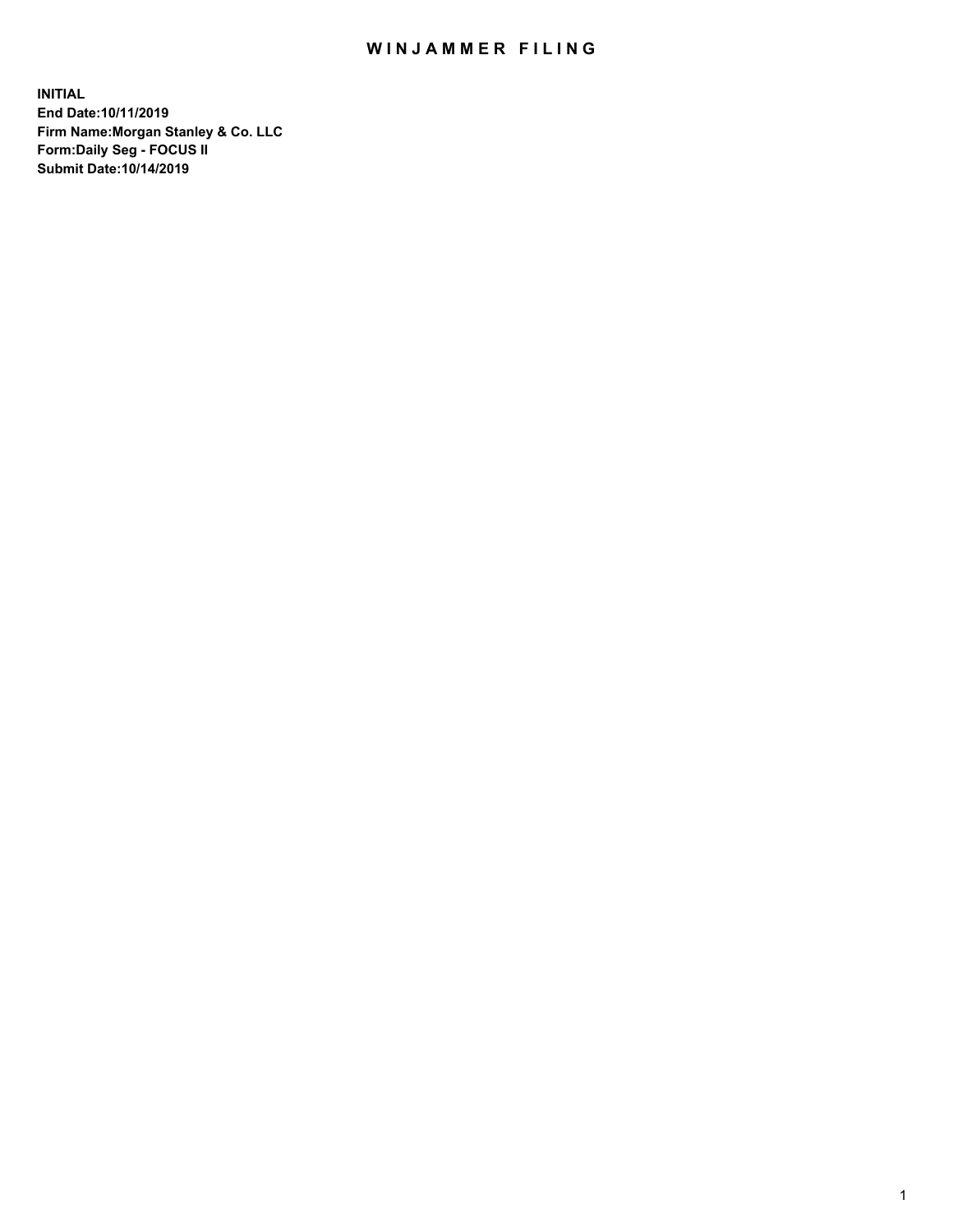## WIN JAMMER FILING

**INITIAL End Date:10/11/2019 Firm Name:Morgan Stanley & Co. LLC Form:Daily Seg - FOCUS II Submit Date:10/14/2019**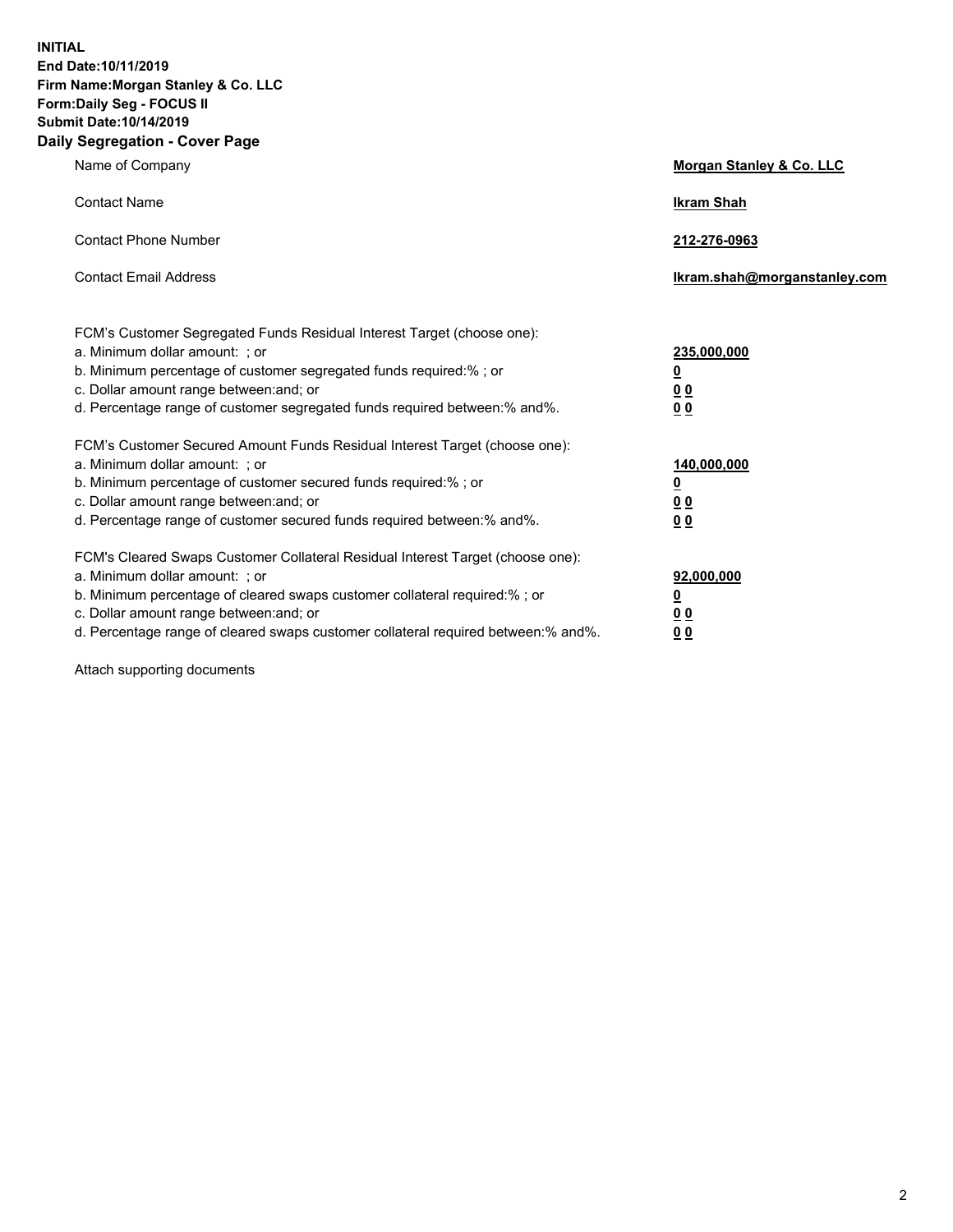**INITIAL End Date:10/11/2019 Firm Name:Morgan Stanley & Co. LLC Form:Daily Seg - FOCUS II Submit Date:10/14/2019 Daily Segregation - Cover Page**

| Name of Company                                                                   | Morgan Stanley & Co. LLC     |
|-----------------------------------------------------------------------------------|------------------------------|
| <b>Contact Name</b>                                                               | <b>Ikram Shah</b>            |
| <b>Contact Phone Number</b>                                                       | 212-276-0963                 |
| <b>Contact Email Address</b>                                                      | Ikram.shah@morganstanley.com |
| FCM's Customer Segregated Funds Residual Interest Target (choose one):            |                              |
| a. Minimum dollar amount: ; or                                                    | 235,000,000                  |
| b. Minimum percentage of customer segregated funds required:% ; or                | <u>0</u>                     |
| c. Dollar amount range between: and; or                                           | <u>00</u>                    |
| d. Percentage range of customer segregated funds required between:% and%.         | 0 <sub>0</sub>               |
| FCM's Customer Secured Amount Funds Residual Interest Target (choose one):        |                              |
| a. Minimum dollar amount: ; or                                                    | 140,000,000                  |
| b. Minimum percentage of customer secured funds required:%; or                    | <u>0</u>                     |
| c. Dollar amount range between: and; or                                           | <u>00</u>                    |
| d. Percentage range of customer secured funds required between:% and%.            | 00                           |
| FCM's Cleared Swaps Customer Collateral Residual Interest Target (choose one):    |                              |
| a. Minimum dollar amount: ; or                                                    | 92,000,000                   |
| b. Minimum percentage of cleared swaps customer collateral required:% ; or        | <u>0</u>                     |
| c. Dollar amount range between: and; or                                           | 0 Q                          |
| d. Percentage range of cleared swaps customer collateral required between:% and%. | 00                           |

Attach supporting documents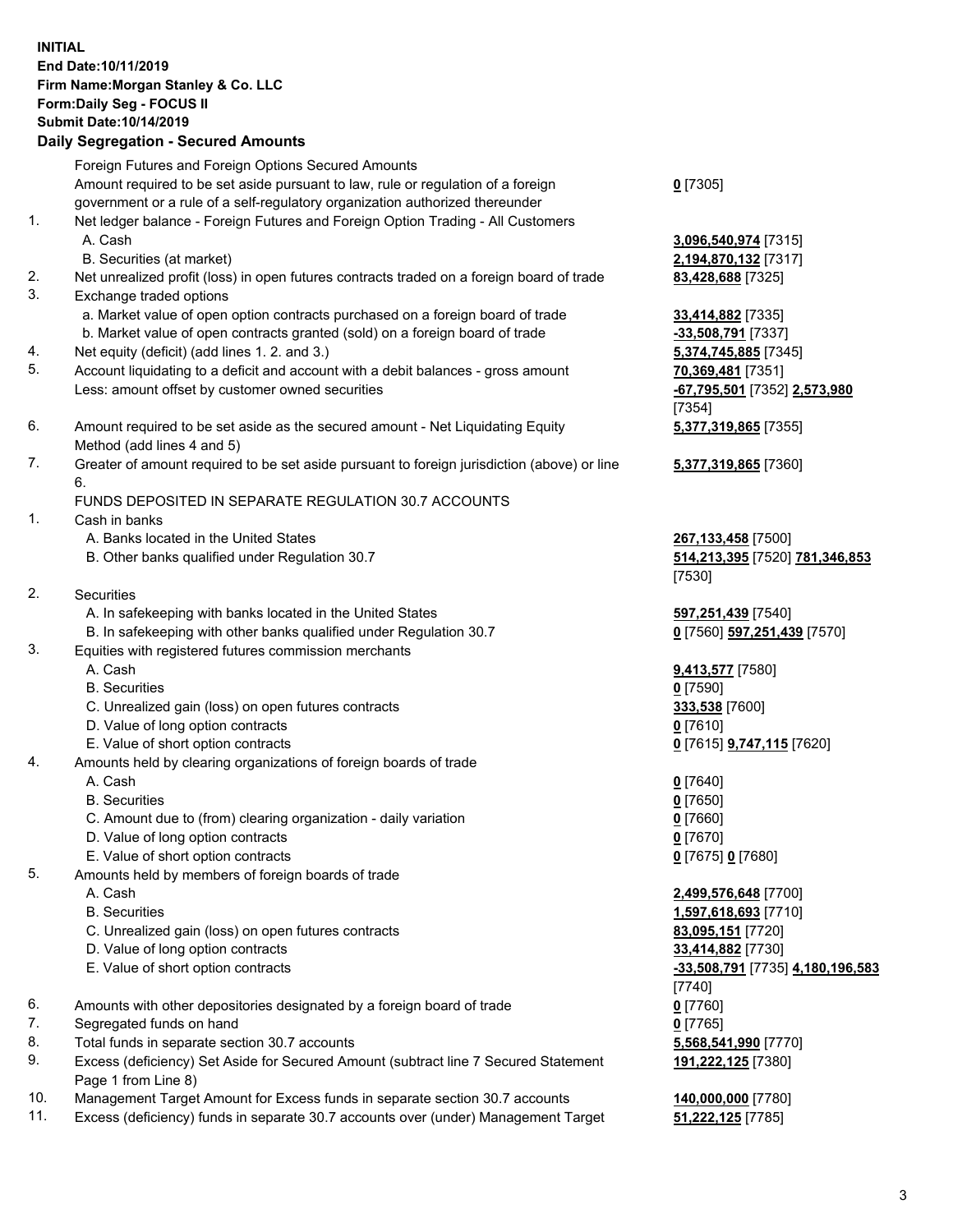## **INITIAL End Date:10/11/2019 Firm Name:Morgan Stanley & Co. LLC Form:Daily Seg - FOCUS II Submit Date:10/14/2019 Daily Segregation - Secured Amounts**

Foreign Futures and Foreign Options Secured Amounts Amount required to be set aside pursuant to law, rule or regulation of a foreign government or a rule of a self-regulatory organization authorized thereunder 1. Net ledger balance - Foreign Futures and Foreign Option Trading - All Customers A. Cash **3,096,540,974** [7315] B. Securities (at market) **2,194,870,132** [7317] 2. Net unrealized profit (loss) in open futures contracts traded on a foreign board of trade **83,428,688** [7325] 3. Exchange traded options a. Market value of open option contracts purchased on a foreign board of trade **33,414,882** [7335] b. Market value of open contracts granted (sold) on a foreign board of trade **-33,508,791** [7337] 4. Net equity (deficit) (add lines 1. 2. and 3.) **5,374,745,885** [7345] 5. Account liquidating to a deficit and account with a debit balances - gross amount **70,369,481** [7351] Less: amount offset by customer owned securities **-67,795,501** [7352] **2,573,980** 6. Amount required to be set aside as the secured amount - Net Liquidating Equity Method (add lines 4 and 5) 7. Greater of amount required to be set aside pursuant to foreign jurisdiction (above) or line 6. FUNDS DEPOSITED IN SEPARATE REGULATION 30.7 ACCOUNTS

- 1. Cash in banks
	- A. Banks located in the United States **267,133,458** [7500]
	- B. Other banks qualified under Regulation 30.7 **514,213,395** [7520] **781,346,853**
- 2. Securities
	- A. In safekeeping with banks located in the United States **597,251,439** [7540]
	- B. In safekeeping with other banks qualified under Regulation 30.7 **0** [7560] **597,251,439** [7570]
- 3. Equities with registered futures commission merchants
	-
	- B. Securities **0** [7590]
	- C. Unrealized gain (loss) on open futures contracts **333,538** [7600]
	- D. Value of long option contracts **0** [7610]
- E. Value of short option contracts **0** [7615] **9,747,115** [7620]
- 4. Amounts held by clearing organizations of foreign boards of trade
	- A. Cash **0** [7640]
	- B. Securities **0** [7650]
	- C. Amount due to (from) clearing organization daily variation **0** [7660]
	- D. Value of long option contracts **0** [7670]
	- E. Value of short option contracts **0** [7675] **0** [7680]
- 5. Amounts held by members of foreign boards of trade
	-
	-
	- C. Unrealized gain (loss) on open futures contracts **83,095,151** [7720]
	- D. Value of long option contracts **33,414,882** [7730]
	- E. Value of short option contracts **-33,508,791** [7735] **4,180,196,583**
- 6. Amounts with other depositories designated by a foreign board of trade **0** [7760]
- 7. Segregated funds on hand **0** [7765]
- 8. Total funds in separate section 30.7 accounts **5,568,541,990** [7770]
- 9. Excess (deficiency) Set Aside for Secured Amount (subtract line 7 Secured Statement Page 1 from Line 8)
- 10. Management Target Amount for Excess funds in separate section 30.7 accounts **140,000,000** [7780]
- 11. Excess (deficiency) funds in separate 30.7 accounts over (under) Management Target **51,222,125** [7785]

**0** [7305]

[7354] **5,377,319,865** [7355]

**5,377,319,865** [7360]

[7530]

A. Cash **9,413,577** [7580]

 A. Cash **2,499,576,648** [7700] B. Securities **1,597,618,693** [7710] [7740] **191,222,125** [7380]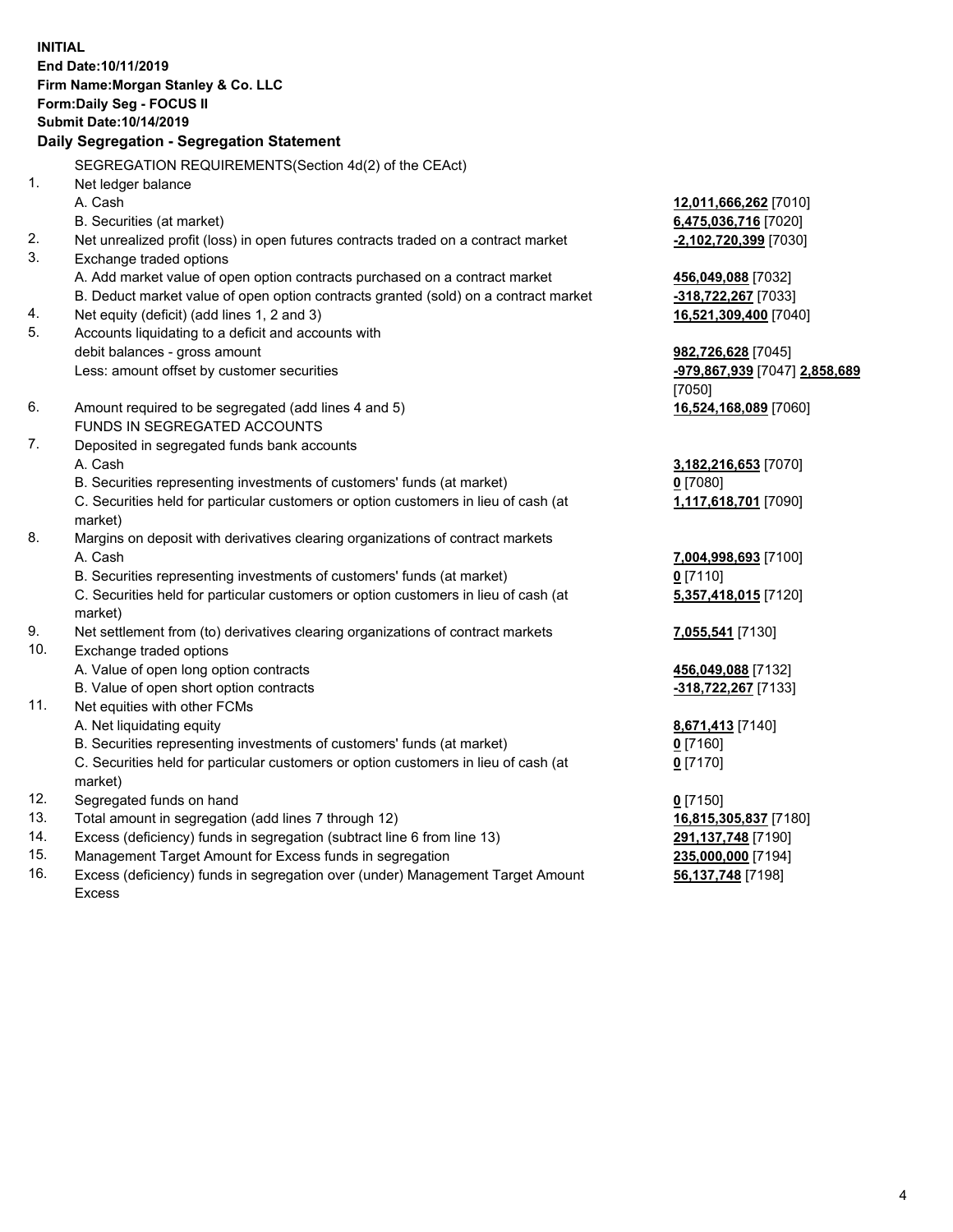**INITIAL End Date:10/11/2019 Firm Name:Morgan Stanley & Co. LLC Form:Daily Seg - FOCUS II Submit Date:10/14/2019 Daily Segregation - Segregation Statement** SEGREGATION REQUIREMENTS(Section 4d(2) of the CEAct) 1. Net ledger balance A. Cash **12,011,666,262** [7010] B. Securities (at market) **6,475,036,716** [7020] 2. Net unrealized profit (loss) in open futures contracts traded on a contract market **-2,102,720,399** [7030] 3. Exchange traded options A. Add market value of open option contracts purchased on a contract market **456,049,088** [7032] B. Deduct market value of open option contracts granted (sold) on a contract market **-318,722,267** [7033] 4. Net equity (deficit) (add lines 1, 2 and 3) **16,521,309,400** [7040] 5. Accounts liquidating to a deficit and accounts with debit balances - gross amount **982,726,628** [7045] Less: amount offset by customer securities **-979,867,939** [7047] **2,858,689** [7050] 6. Amount required to be segregated (add lines 4 and 5) **16,524,168,089** [7060] FUNDS IN SEGREGATED ACCOUNTS 7. Deposited in segregated funds bank accounts A. Cash **3,182,216,653** [7070] B. Securities representing investments of customers' funds (at market) **0** [7080] C. Securities held for particular customers or option customers in lieu of cash (at market) **1,117,618,701** [7090] 8. Margins on deposit with derivatives clearing organizations of contract markets A. Cash **7,004,998,693** [7100] B. Securities representing investments of customers' funds (at market) **0** [7110] C. Securities held for particular customers or option customers in lieu of cash (at market) **5,357,418,015** [7120] 9. Net settlement from (to) derivatives clearing organizations of contract markets **7,055,541** [7130] 10. Exchange traded options A. Value of open long option contracts **456,049,088** [7132] B. Value of open short option contracts **-318,722,267** [7133] 11. Net equities with other FCMs A. Net liquidating equity **8,671,413** [7140] B. Securities representing investments of customers' funds (at market) **0** [7160] C. Securities held for particular customers or option customers in lieu of cash (at market) **0** [7170] 12. Segregated funds on hand **0** [7150] 13. Total amount in segregation (add lines 7 through 12) **16,815,305,837** [7180] 14. Excess (deficiency) funds in segregation (subtract line 6 from line 13) **291,137,748** [7190]

- 15. Management Target Amount for Excess funds in segregation **235,000,000** [7194]
- 16. Excess (deficiency) funds in segregation over (under) Management Target Amount Excess

**56,137,748** [7198]